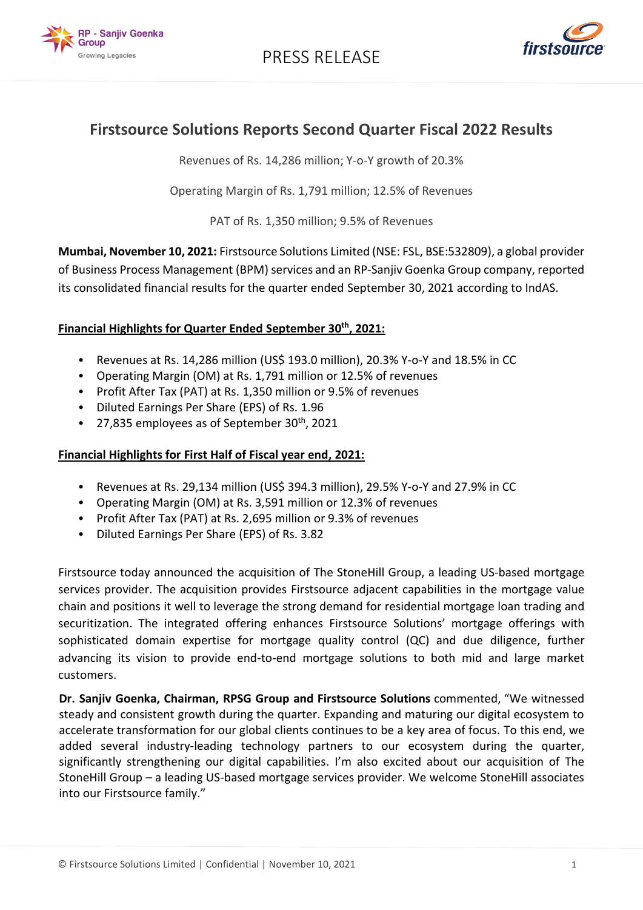



# **Firstsource Solutions Reports Second Quarter Fiscal 2022 Results**

Revenues of Rs. 14,286 million; Y-o-Y growth of 20.3%

Operating Margin of Rs. 1,791 million; 12.5% of Revenues

PAT of Rs. 1,350 million; 9.5% of Revenues

**Mumbai, November 10, 2021:** Firstsource Solutions Limited (NSE: FSL, BSE:532809), a global provider of Business Process Management (BPM) services and an RP-Sanjiv Goenka Group company, reported its consolidated financial results for the quarter ended September 30, 2021 according to IndAS.

## **Financial Highlights for Quarter Ended September 30 th, 2021:**

- Revenues at Rs. 14,286 million (US\$ 193.0 million), 20.3% Y-o-Y and 18.5% in CC
- Operating Margin (OM) at Rs. 1,791 million or 12.5% of revenues
- Profit After Tax (PAT) at Rs. 1,350 million or 9.5% of revenues
- Diluted Earnings Per Share (EPS) of Rs. 1.96
- 27,835 employees as of September  $30<sup>th</sup>$ , 2021

## **Financial Highlights for First Half of Fiscal year end, 2021:**

- Revenues at Rs. 29,134 million (US\$ 394.3 million), 29.5% Y-o-Y and 27.9% in CC
- Operating Margin (OM) at Rs. 3,591 million or 12.3% of revenues
- Profit After Tax (PAT) at Rs. 2,695 million or 9.3% of revenues
- Diluted Earnings Per Share (EPS) of Rs. 3.82

Firstsource today announced the acquisition of The StoneHill Group, a leading US-based mortgage services provider. The acquisition provides Firstsource adjacent capabilities in the mortgage value chain and positions it well to leverage the strong demand for residential mortgage loan trading and securitization. The integrated offering enhances Firstsource Solutions' mortgage offerings with sophisticated domain expertise for mortgage quality control (QC) and due diligence, further advancing its vision to provide end-to-end mortgage solutions to both mid and large market customers.

**Dr. Sanjiv Goenka, Chairman, RPSG Group and Firstsource Solutions** commented, "We witnessed steady and consistent growth during the quarter. Expanding and maturing our digital ecosystem to accelerate transformation for our global clients continues to be a key area of focus. To this end, we added several industry-leading technology partners to our ecosystem during the quarter, significantly strengthening our digital capabilities. I'm also excited about our acquisition of The StoneHill Group – a leading US-based mortgage services provider. We welcome StoneHill associates into our Firstsource family."